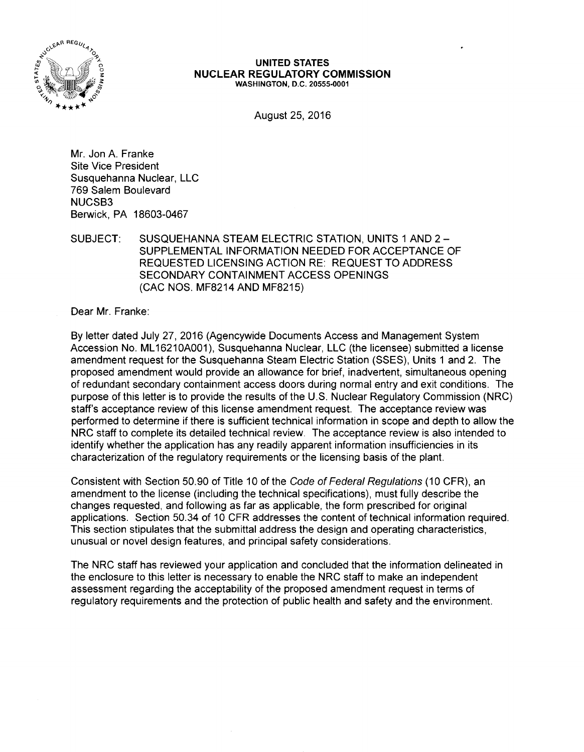

#### **UNITED STATES NUCLEAR REGULATORY COMMISSION**  WASHINGTON, D.C. 20555-0001

August 25, 2016

Mr. Jon A. Franke Site Vice President Susquehanna Nuclear, LLC 769 Salem Boulevard NUCSB3 Berwick, PA 18603-0467

SUBJECT: SUSQUEHANNA STEAM ELECTRIC STATION, UNITS 1AND2- SUPPLEMENTAL INFORMATION NEEDED FOR ACCEPTANCE OF REQUESTED LICENSING ACTION RE: REQUEST TO ADDRESS SECONDARY CONTAINMENT ACCESS OPENINGS (CAC NOS. MF8214 AND MF8215)

Dear Mr. Franke:

By letter dated July 27, 2016 (Agencywide Documents Access and Management System Accession No. ML 16210A001), Susquehanna Nuclear, LLC (the licensee) submitted a license amendment request for the Susquehanna Steam Electric Station (SSES), Units 1 and 2. The proposed amendment would provide an allowance for brief, inadvertent, simultaneous opening of redundant secondary containment access doors during normal entry and exit conditions. The purpose of this letter is to provide the results of the U.S. Nuclear Regulatory Commission (NRC) staff's acceptance review of this license amendment request. The acceptance review was performed to determine if there is sufficient technical information in scope and depth to allow the NRC staff to complete its detailed technical review. The acceptance review is also intended to identify whether the application has any readily apparent information insufficiencies in its characterization of the regulatory requirements or the licensing basis of the plant.

Consistent with Section 50.90 of Title 10 of the Code of Federal Regulations (10 CFR), an amendment to the license (including the technical specifications), must fully describe the changes requested, and following as far as applicable, the form prescribed for original applications. Section 50.34 of 10 CFR addresses the content of technical information required. This section stipulates that the submittal address the design and operating characteristics, unusual or novel design features, and principal safety considerations.

The NRC staff has reviewed your application and concluded that the information delineated in the enclosure to this letter is necessary to enable the NRC staff to make an independent assessment regarding the acceptability of the proposed amendment request in terms of regulatory requirements and the protection of public health and safety and the environment.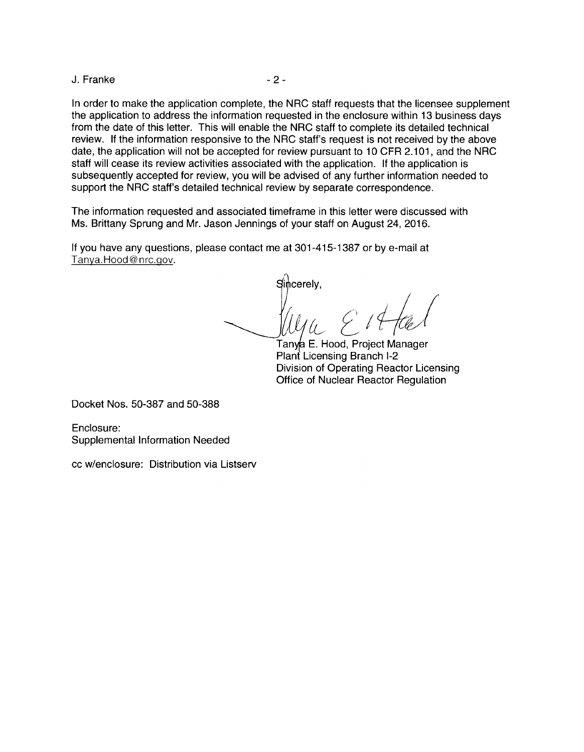J. Franke - 2 -

In order to make the application complete, the NRC staff requests that the licensee supplement the application to address the information requested in the enclosure within 13 business days from the date of this letter. This will enable the NRC staff to complete its detailed technical review. If the information responsive to the NRC staff's request is not received by the above date, the application will not be accepted for review pursuant to 10 CFR 2.101, and the NRC staff will cease its review activities associated with the application. If the application is subsequently accepted for review, you will be advised of any further information needed to support the NRC staff's detailed technical review by separate correspondence.

The information requested and associated timeframe in this letter were discussed with Ms. Brittany Sprung and Mr. Jason Jennings of your staff on August 24, 2016.

If you have any questions, please contact me at 301-415-1387 or by e-mail at Tanya.Hood@nrc.gov.

 $\hat{\mathfrak{g}}$ cerely, au~ *[1i-/J* 

Tanya E. Hood, Project Manager Plant Licensing Branch 1-2 Division of Operating Reactor Licensing Office of Nuclear Reactor Regulation

Docket Nos. 50-387 and 50-388

Enclosure: Supplemental Information Needed

cc w/enclosure: Distribution via Listserv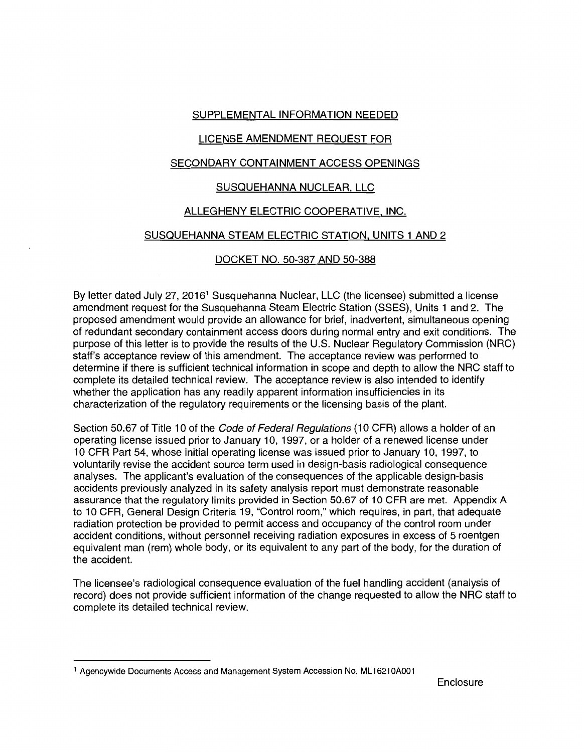## SUPPLEMENTAL INFORMATION NEEDED

## LICENSE AMENDMENT REQUEST FOR

## SECONDARY CONTAINMENT ACCESS OPENINGS

## SUSQUEHANNA NUCLEAR. LLC

## ALLEGHENY ELECTRIC COOPERATIVE, INC.

# SUSQUEHANNA STEAM ELECTRIC STATION. UNITS 1 AND 2

## DOCKET NO. 50-387 AND 50-388

By letter dated July 27, 2016<sup>1</sup> Susquehanna Nuclear, LLC (the licensee) submitted a license amendment request for the Susquehanna Steam Electric Station (SSES), Units 1 and 2. The proposed amendment would provide an allowance for brief, inadvertent, simultaneous opening of redundant secondary containment access doors during normal entry and exit conditions. The purpose of this letter is to provide the results of the U.S. Nuclear Regulatory Commission (NRC) staff's acceptance review of this amendment. The acceptance review was performed to determine if there is sufficient technical information in scope and depth to allow the NRC staff to complete its detailed technical review. The acceptance review is also intended to identify whether the application has any readily apparent information insufficiencies in its characterization of the regulatory requirements or the licensing basis of the plant.

Section 50.67 of Title 10 of the Code of Federal Regulations (10 CFR) allows a holder of an operating license issued prior to January 10, 1997, or a holder of a renewed license under 10 CFR Part 54, whose initial operating license was issued prior to January 10, 1997, to voluntarily revise the accident source term used in design-basis radiological consequence analyses. The applicant's evaluation of the consequences of the applicable design-basis accidents previously analyzed in its safety analysis report must demonstrate reasonable assurance that the regulatory limits provided in Section 50.67 of 10 CFR are met. Appendix A to 10 CFR, General Design Criteria 19, "Control room," which requires, in part, that adequate radiation protection be provided to permit access and occupancy of the control room under accident conditions, without personnel receiving radiation exposures in excess of 5 roentgen equivalent man (rem) whole body, or its equivalent to any part of the body, for the duration of the accident.

The licensee's radiological consequence evaluation of the fuel handling accident (analysis of record) does not provide sufficient information of the change requested to allow the NRC staff to complete its detailed technical review.

<sup>1</sup> Agencywide Documents Access and Management System Accession No. ML 1621 OA001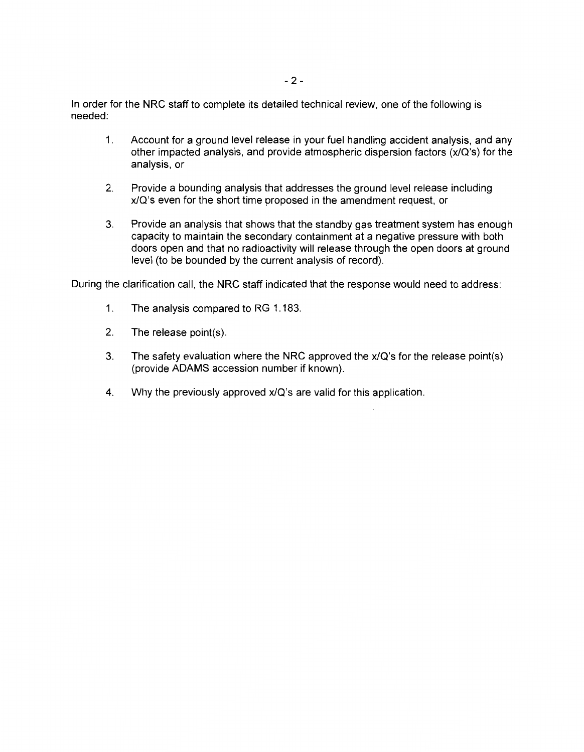In order for the NRC staff to complete its detailed technical review, one of the following is needed:

- 1. Account for a ground level release in your fuel handling accident analysis, and any other impacted analysis, and provide atmospheric dispersion factors (x/Q's) for the analysis, or
- 2. Provide a bounding analysis that addresses the ground level release including x/Q's even for the short time proposed in the amendment request, or
- 3. Provide an analysis that shows that the standby gas treatment system has enough capacity to maintain the secondary containment at a negative pressure with both doors open and that no radioactivity will release through the open doors at ground level (to be bounded by the current analysis of record).

During the clarification call, the NRC staff indicated that the response would need to address:

- 1. The analysis compared to RG 1.183.
- 2. The release point(s).
- 3. The safety evaluation where the NRC approved the x/Q's for the release point(s) (provide ADAMS accession number if known).
- 4. Why the previously approved x/Q's are valid for this application.